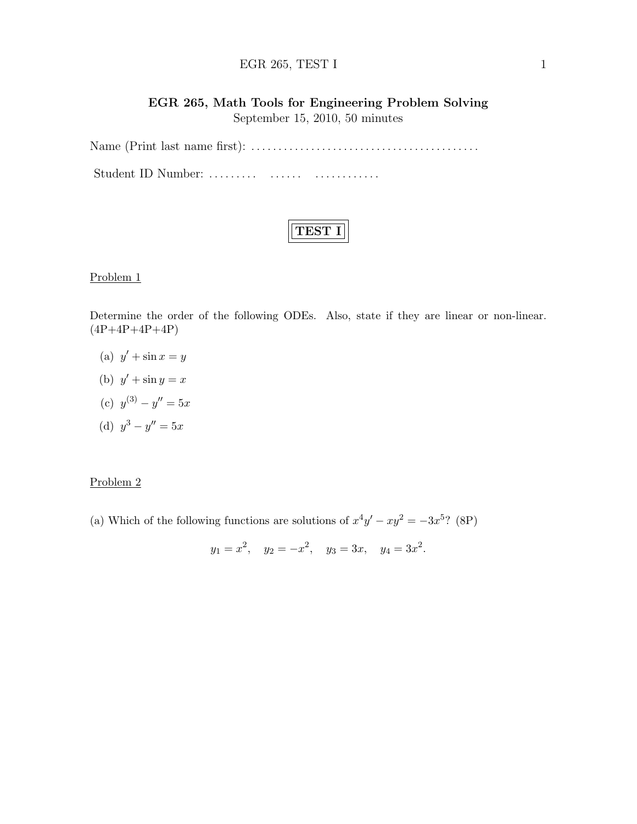#### EGR  $265$ , TEST I 1

# EGR 265, Math Tools for Engineering Problem Solving September 15, 2010, 50 minutes

Name (Print last name first): . . . . . . . . . . . . . . . . . . . . . . . . . . . . . . . . . . . . . . . . . . Student ID Number: ......... ....... ................

Problem 1

Determine the order of the following ODEs. Also, state if they are linear or non-linear.  $(4P+4P+4P+4P)$ 

- (a)  $y' + \sin x = y$
- (b)  $y' + \sin y = x$
- (c)  $y^{(3)} y'' = 5x$
- (d)  $y^3 y'' = 5x$

## Problem 2

(a) Which of the following functions are solutions of  $x^4y' - xy^2 = -3x^{5}$ ? (8P)

$$
y_1 = x^2
$$
,  $y_2 = -x^2$ ,  $y_3 = 3x$ ,  $y_4 = 3x^2$ .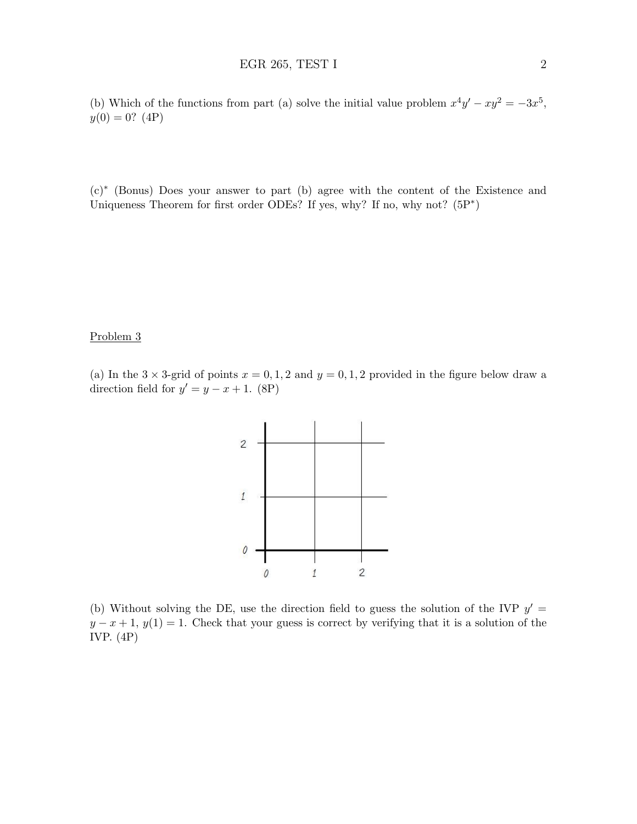(b) Which of the functions from part (a) solve the initial value problem  $x^4y' - xy^2 = -3x^5$ ,  $y(0) = 0$ ? (4P)

(c)<sup>∗</sup> (Bonus) Does your answer to part (b) agree with the content of the Existence and Uniqueness Theorem for first order ODEs? If yes, why? If no, why not?  $(5P^*)$ 

#### Problem 3

(a) In the  $3 \times 3$ -grid of points  $x = 0, 1, 2$  and  $y = 0, 1, 2$  provided in the figure below draw a direction field for  $y' = y - x + 1$ . (8P)



(b) Without solving the DE, use the direction field to guess the solution of the IVP  $y' =$  $y - x + 1$ ,  $y(1) = 1$ . Check that your guess is correct by verifying that it is a solution of the IVP. (4P)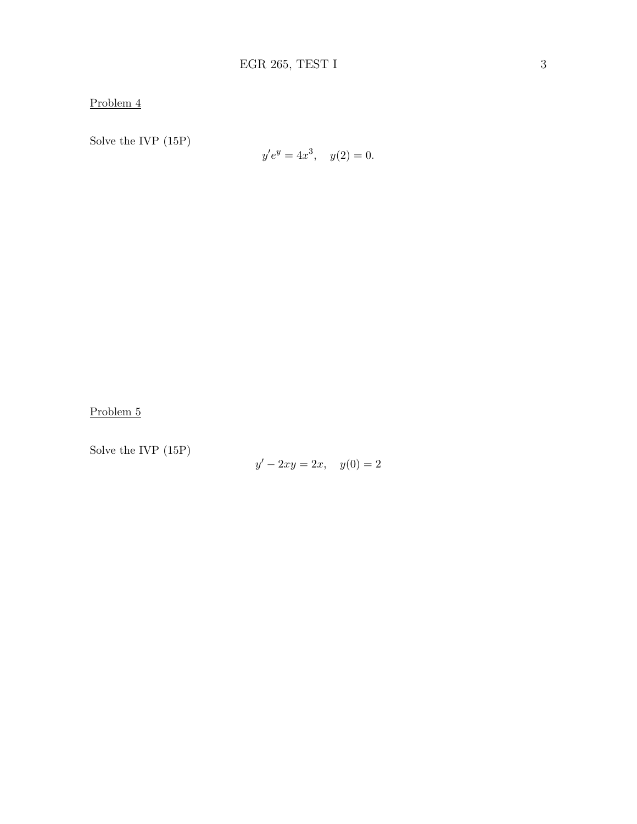Problem 4

Solve the IVP (15P)

$$
y'e^y = 4x^3, \quad y(2) = 0.
$$

Problem 5

Solve the IVP (15P)

 $y' - 2xy = 2x$ ,  $y(0) = 2$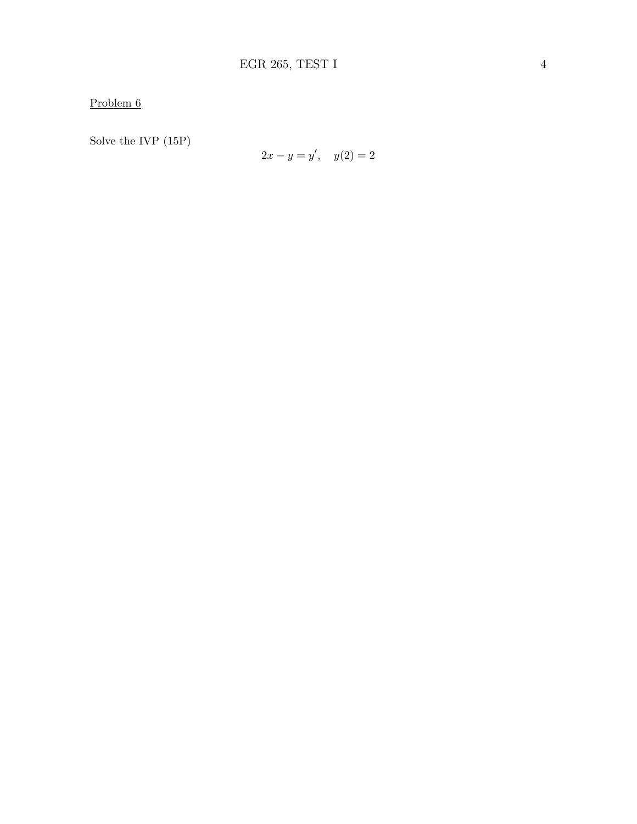Problem 6

Solve the IVP (15P)

$$
2x - y = y', \quad y(2) = 2
$$